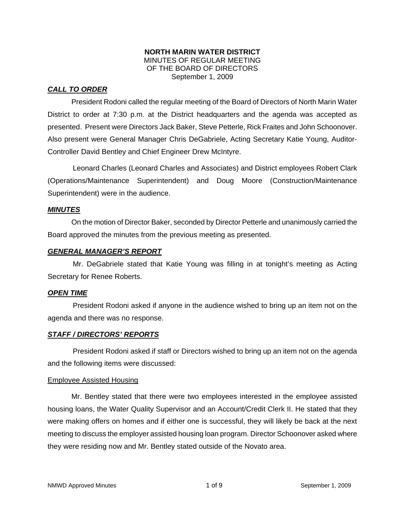### **NORTH MARIN WATER DISTRICT**  MINUTES OF REGULAR MEETING OF THE BOARD OF DIRECTORS September 1, 2009

# *CALL TO ORDER*

President Rodoni called the regular meeting of the Board of Directors of North Marin Water District to order at 7:30 p.m. at the District headquarters and the agenda was accepted as presented. Present were Directors Jack Baker, Steve Petterle, Rick Fraites and John Schoonover. Also present were General Manager Chris DeGabriele, Acting Secretary Katie Young, Auditor-Controller David Bentley and Chief Engineer Drew McIntyre.

Leonard Charles (Leonard Charles and Associates) and District employees Robert Clark (Operations/Maintenance Superintendent) and Doug Moore (Construction/Maintenance Superintendent) were in the audience.

### *MINUTES*

 On the motion of Director Baker, seconded by Director Petterle and unanimously carried the Board approved the minutes from the previous meeting as presented.

### *GENERAL MANAGER'S REPORT*

Mr. DeGabriele stated that Katie Young was filling in at tonight's meeting as Acting Secretary for Renee Roberts.

### *OPEN TIME*

President Rodoni asked if anyone in the audience wished to bring up an item not on the agenda and there was no response.

### *STAFF / DIRECTORS' REPORTS*

President Rodoni asked if staff or Directors wished to bring up an item not on the agenda and the following items were discussed:

### Employee Assisted Housing

 Mr. Bentley stated that there were two employees interested in the employee assisted housing loans, the Water Quality Supervisor and an Account/Credit Clerk II. He stated that they were making offers on homes and if either one is successful, they will likely be back at the next meeting to discuss the employer assisted housing loan program. Director Schoonover asked where they were residing now and Mr. Bentley stated outside of the Novato area.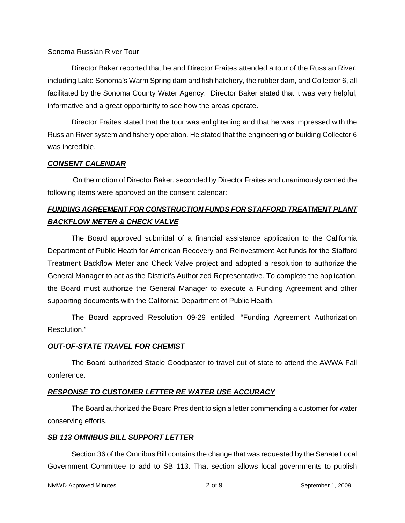### Sonoma Russian River Tour

 Director Baker reported that he and Director Fraites attended a tour of the Russian River, including Lake Sonoma's Warm Spring dam and fish hatchery, the rubber dam, and Collector 6, all facilitated by the Sonoma County Water Agency. Director Baker stated that it was very helpful, informative and a great opportunity to see how the areas operate.

 Director Fraites stated that the tour was enlightening and that he was impressed with the Russian River system and fishery operation. He stated that the engineering of building Collector 6 was incredible.

### *CONSENT CALENDAR*

On the motion of Director Baker, seconded by Director Fraites and unanimously carried the following items were approved on the consent calendar:

# *FUNDING AGREEMENT FOR CONSTRUCTION FUNDS FOR STAFFORD TREATMENT PLANT BACKFLOW METER & CHECK VALVE*

The Board approved submittal of a financial assistance application to the California Department of Public Heath for American Recovery and Reinvestment Act funds for the Stafford Treatment Backflow Meter and Check Valve project and adopted a resolution to authorize the General Manager to act as the District's Authorized Representative. To complete the application, the Board must authorize the General Manager to execute a Funding Agreement and other supporting documents with the California Department of Public Health.

 The Board approved Resolution 09-29 entitled, "Funding Agreement Authorization Resolution."

### *OUT-OF-STATE TRAVEL FOR CHEMIST*

 The Board authorized Stacie Goodpaster to travel out of state to attend the AWWA Fall conference.

### *RESPONSE TO CUSTOMER LETTER RE WATER USE ACCURACY*

 The Board authorized the Board President to sign a letter commending a customer for water conserving efforts.

### *SB 113 OMNIBUS BILL SUPPORT LETTER*

 Section 36 of the Omnibus Bill contains the change that was requested by the Senate Local Government Committee to add to SB 113. That section allows local governments to publish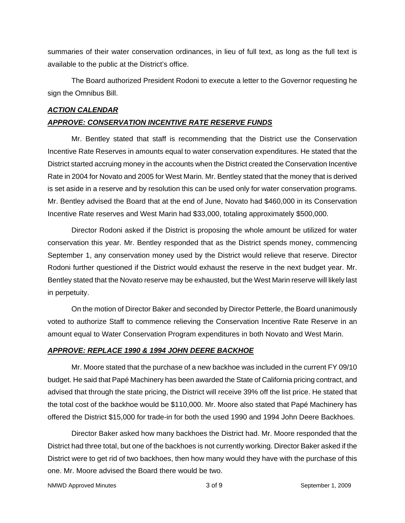summaries of their water conservation ordinances, in lieu of full text, as long as the full text is available to the public at the District's office.

 The Board authorized President Rodoni to execute a letter to the Governor requesting he sign the Omnibus Bill.

# *ACTION CALENDAR APPROVE: CONSERVATION INCENTIVE RATE RESERVE FUNDS*

 Mr. Bentley stated that staff is recommending that the District use the Conservation Incentive Rate Reserves in amounts equal to water conservation expenditures. He stated that the District started accruing money in the accounts when the District created the Conservation Incentive Rate in 2004 for Novato and 2005 for West Marin. Mr. Bentley stated that the money that is derived is set aside in a reserve and by resolution this can be used only for water conservation programs. Mr. Bentley advised the Board that at the end of June, Novato had \$460,000 in its Conservation Incentive Rate reserves and West Marin had \$33,000, totaling approximately \$500,000.

 Director Rodoni asked if the District is proposing the whole amount be utilized for water conservation this year. Mr. Bentley responded that as the District spends money, commencing September 1, any conservation money used by the District would relieve that reserve. Director Rodoni further questioned if the District would exhaust the reserve in the next budget year. Mr. Bentley stated that the Novato reserve may be exhausted, but the West Marin reserve will likely last in perpetuity.

 On the motion of Director Baker and seconded by Director Petterle, the Board unanimously voted to authorize Staff to commence relieving the Conservation Incentive Rate Reserve in an amount equal to Water Conservation Program expenditures in both Novato and West Marin.

### *APPROVE: REPLACE 1990 & 1994 JOHN DEERE BACKHOE*

 Mr. Moore stated that the purchase of a new backhoe was included in the current FY 09/10 budget. He said that Papé Machinery has been awarded the State of California pricing contract, and advised that through the state pricing, the District will receive 39% off the list price. He stated that the total cost of the backhoe would be \$110,000. Mr. Moore also stated that Papé Machinery has offered the District \$15,000 for trade-in for both the used 1990 and 1994 John Deere Backhoes.

 Director Baker asked how many backhoes the District had. Mr. Moore responded that the District had three total, but one of the backhoes is not currently working. Director Baker asked if the District were to get rid of two backhoes, then how many would they have with the purchase of this one. Mr. Moore advised the Board there would be two.

NMWD Approved Minutes and the separate control of  $3$  of 9 September 1, 2009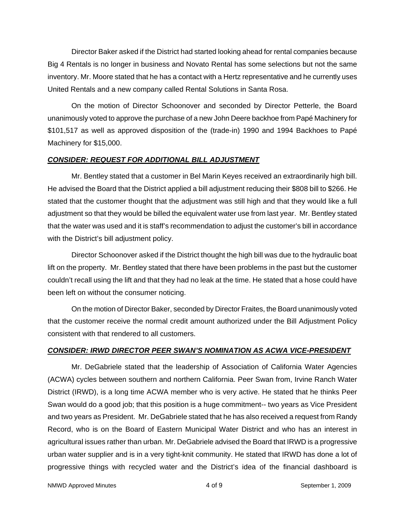Director Baker asked if the District had started looking ahead for rental companies because Big 4 Rentals is no longer in business and Novato Rental has some selections but not the same inventory. Mr. Moore stated that he has a contact with a Hertz representative and he currently uses United Rentals and a new company called Rental Solutions in Santa Rosa.

On the motion of Director Schoonover and seconded by Director Petterle, the Board unanimously voted to approve the purchase of a new John Deere backhoe from Papé Machinery for \$101,517 as well as approved disposition of the (trade-in) 1990 and 1994 Backhoes to Papé Machinery for \$15,000.

# *CONSIDER: REQUEST FOR ADDITIONAL BILL ADJUSTMENT*

 Mr. Bentley stated that a customer in Bel Marin Keyes received an extraordinarily high bill. He advised the Board that the District applied a bill adjustment reducing their \$808 bill to \$266. He stated that the customer thought that the adjustment was still high and that they would like a full adjustment so that they would be billed the equivalent water use from last year. Mr. Bentley stated that the water was used and it is staff's recommendation to adjust the customer's bill in accordance with the District's bill adjustment policy.

 Director Schoonover asked if the District thought the high bill was due to the hydraulic boat lift on the property. Mr. Bentley stated that there have been problems in the past but the customer couldn't recall using the lift and that they had no leak at the time. He stated that a hose could have been left on without the consumer noticing.

 On the motion of Director Baker, seconded by Director Fraites, the Board unanimously voted that the customer receive the normal credit amount authorized under the Bill Adjustment Policy consistent with that rendered to all customers.

# *CONSIDER: IRWD DIRECTOR PEER SWAN'S NOMINATION AS ACWA VICE-PRESIDENT*

 Mr. DeGabriele stated that the leadership of Association of California Water Agencies (ACWA) cycles between southern and northern California. Peer Swan from, Irvine Ranch Water District (IRWD), is a long time ACWA member who is very active. He stated that he thinks Peer Swan would do a good job; that this position is a huge commitment-- two years as Vice President and two years as President. Mr. DeGabriele stated that he has also received a request from Randy Record, who is on the Board of Eastern Municipal Water District and who has an interest in agricultural issues rather than urban. Mr. DeGabriele advised the Board that IRWD is a progressive urban water supplier and is in a very tight-knit community. He stated that IRWD has done a lot of progressive things with recycled water and the District's idea of the financial dashboard is

NMWD Approved Minutes and the separate control of  $\frac{4}{100}$  of 9 September 1, 2009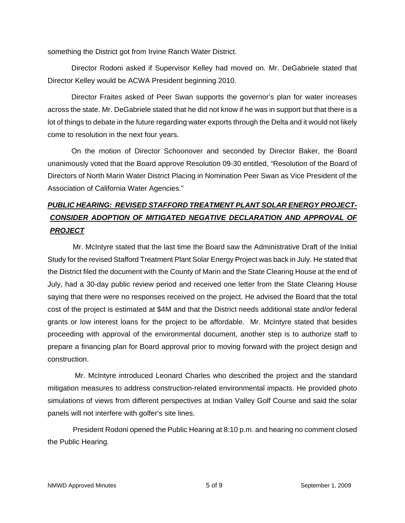something the District got from Irvine Ranch Water District.

 Director Rodoni asked if Supervisor Kelley had moved on. Mr. DeGabriele stated that Director Kelley would be ACWA President beginning 2010.

 Director Fraites asked of Peer Swan supports the governor's plan for water increases across the state. Mr. DeGabriele stated that he did not know if he was in support but that there is a lot of things to debate in the future regarding water exports through the Delta and it would not likely come to resolution in the next four years.

 On the motion of Director Schoonover and seconded by Director Baker, the Board unanimously voted that the Board approve Resolution 09-30 entitled, "Resolution of the Board of Directors of North Marin Water District Placing in Nomination Peer Swan as Vice President of the Association of California Water Agencies."

# *PUBLIC HEARING: REVISED STAFFORD TREATMENT PLANT SOLAR ENERGY PROJECT-***CONSIDER ADOPTION OF MITIGATED NEGATIVE DECLARATION AND APPROVAL OF** *PROJECT*

Mr. McIntyre stated that the last time the Board saw the Administrative Draft of the Initial Study for the revised Stafford Treatment Plant Solar Energy Project was back in July. He stated that the District filed the document with the County of Marin and the State Clearing House at the end of July, had a 30-day public review period and received one letter from the State Clearing House saying that there were no responses received on the project. He advised the Board that the total cost of the project is estimated at \$4M and that the District needs additional state and/or federal grants or low interest loans for the project to be affordable. Mr. McIntyre stated that besides proceeding with approval of the environmental document, another step is to authorize staff to prepare a financing plan for Board approval prior to moving forward with the project design and construction.

 Mr. McIntyre introduced Leonard Charles who described the project and the standard mitigation measures to address construction-related environmental impacts. He provided photo simulations of views from different perspectives at Indian Valley Golf Course and said the solar panels will not interfere with golfer's site lines.

President Rodoni opened the Public Hearing at 8:10 p.m. and hearing no comment closed the Public Hearing.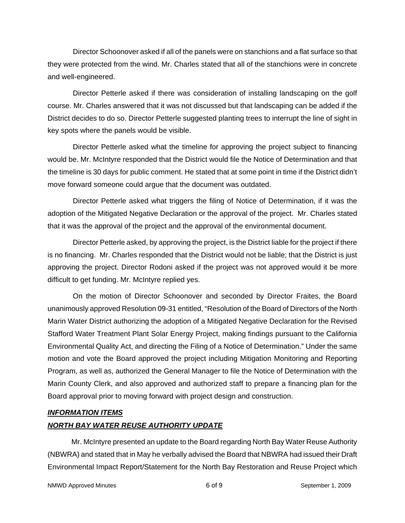Director Schoonover asked if all of the panels were on stanchions and a flat surface so that they were protected from the wind. Mr. Charles stated that all of the stanchions were in concrete and well-engineered.

Director Petterle asked if there was consideration of installing landscaping on the golf course. Mr. Charles answered that it was not discussed but that landscaping can be added if the District decides to do so. Director Petterle suggested planting trees to interrupt the line of sight in key spots where the panels would be visible.

Director Petterle asked what the timeline for approving the project subject to financing would be. Mr. McIntyre responded that the District would file the Notice of Determination and that the timeline is 30 days for public comment. He stated that at some point in time if the District didn't move forward someone could argue that the document was outdated.

Director Petterle asked what triggers the filing of Notice of Determination, if it was the adoption of the Mitigated Negative Declaration or the approval of the project. Mr. Charles stated that it was the approval of the project and the approval of the environmental document.

Director Petterle asked, by approving the project, is the District liable for the project if there is no financing. Mr. Charles responded that the District would not be liable; that the District is just approving the project. Director Rodoni asked if the project was not approved would it be more difficult to get funding. Mr. McIntyre replied yes.

On the motion of Director Schoonover and seconded by Director Fraites, the Board unanimously approved Resolution 09-31 entitled, "Resolution of the Board of Directors of the North Marin Water District authorizing the adoption of a Mitigated Negative Declaration for the Revised Stafford Water Treatment Plant Solar Energy Project, making findings pursuant to the California Environmental Quality Act, and directing the Filing of a Notice of Determination." Under the same motion and vote the Board approved the project including Mitigation Monitoring and Reporting Program, as well as, authorized the General Manager to file the Notice of Determination with the Marin County Clerk, and also approved and authorized staff to prepare a financing plan for the Board approval prior to moving forward with project design and construction.

### *INFORMATION ITEMS*

### *NORTH BAY WATER REUSE AUTHORITY UPDATE*

 Mr. McIntyre presented an update to the Board regarding North Bay Water Reuse Authority (NBWRA) and stated that in May he verbally advised the Board that NBWRA had issued their Draft Environmental Impact Report/Statement for the North Bay Restoration and Reuse Project which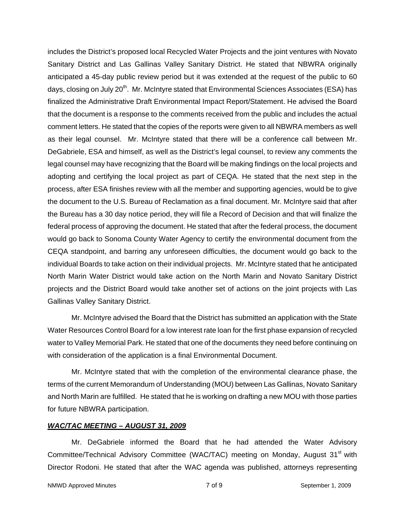includes the District's proposed local Recycled Water Projects and the joint ventures with Novato Sanitary District and Las Gallinas Valley Sanitary District. He stated that NBWRA originally anticipated a 45-day public review period but it was extended at the request of the public to 60 days, closing on July 20<sup>th</sup>. Mr. McIntyre stated that Environmental Sciences Associates (ESA) has finalized the Administrative Draft Environmental Impact Report/Statement. He advised the Board that the document is a response to the comments received from the public and includes the actual comment letters. He stated that the copies of the reports were given to all NBWRA members as well as their legal counsel. Mr. McIntyre stated that there will be a conference call between Mr. DeGabriele, ESA and himself, as well as the District's legal counsel, to review any comments the legal counsel may have recognizing that the Board will be making findings on the local projects and adopting and certifying the local project as part of CEQA. He stated that the next step in the process, after ESA finishes review with all the member and supporting agencies, would be to give the document to the U.S. Bureau of Reclamation as a final document. Mr. McIntyre said that after the Bureau has a 30 day notice period, they will file a Record of Decision and that will finalize the federal process of approving the document. He stated that after the federal process, the document would go back to Sonoma County Water Agency to certify the environmental document from the CEQA standpoint, and barring any unforeseen difficulties, the document would go back to the individual Boards to take action on their individual projects. Mr. McIntyre stated that he anticipated North Marin Water District would take action on the North Marin and Novato Sanitary District projects and the District Board would take another set of actions on the joint projects with Las Gallinas Valley Sanitary District.

 Mr. McIntyre advised the Board that the District has submitted an application with the State Water Resources Control Board for a low interest rate loan for the first phase expansion of recycled water to Valley Memorial Park. He stated that one of the documents they need before continuing on with consideration of the application is a final Environmental Document.

 Mr. McIntyre stated that with the completion of the environmental clearance phase, the terms of the current Memorandum of Understanding (MOU) between Las Gallinas, Novato Sanitary and North Marin are fulfilled. He stated that he is working on drafting a new MOU with those parties for future NBWRA participation.

### *WAC/TAC MEETING – AUGUST 31, 2009*

 Mr. DeGabriele informed the Board that he had attended the Water Advisory Committee/Technical Advisory Committee (WAC/TAC) meeting on Monday, August 31<sup>st</sup> with Director Rodoni. He stated that after the WAC agenda was published, attorneys representing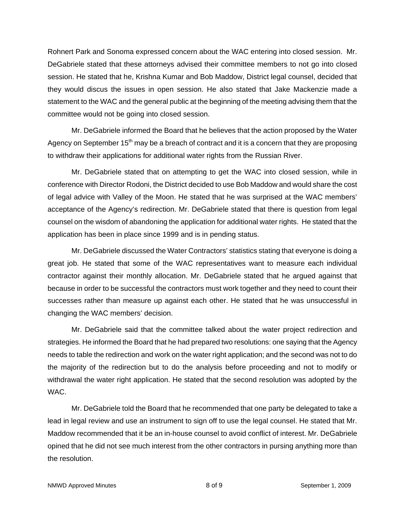Rohnert Park and Sonoma expressed concern about the WAC entering into closed session. Mr. DeGabriele stated that these attorneys advised their committee members to not go into closed session. He stated that he, Krishna Kumar and Bob Maddow, District legal counsel, decided that they would discus the issues in open session. He also stated that Jake Mackenzie made a statement to the WAC and the general public at the beginning of the meeting advising them that the committee would not be going into closed session.

 Mr. DeGabriele informed the Board that he believes that the action proposed by the Water Agency on September  $15<sup>th</sup>$  may be a breach of contract and it is a concern that they are proposing to withdraw their applications for additional water rights from the Russian River.

 Mr. DeGabriele stated that on attempting to get the WAC into closed session, while in conference with Director Rodoni, the District decided to use Bob Maddow and would share the cost of legal advice with Valley of the Moon. He stated that he was surprised at the WAC members' acceptance of the Agency's redirection. Mr. DeGabriele stated that there is question from legal counsel on the wisdom of abandoning the application for additional water rights. He stated that the application has been in place since 1999 and is in pending status.

 Mr. DeGabriele discussed the Water Contractors' statistics stating that everyone is doing a great job. He stated that some of the WAC representatives want to measure each individual contractor against their monthly allocation. Mr. DeGabriele stated that he argued against that because in order to be successful the contractors must work together and they need to count their successes rather than measure up against each other. He stated that he was unsuccessful in changing the WAC members' decision.

 Mr. DeGabriele said that the committee talked about the water project redirection and strategies. He informed the Board that he had prepared two resolutions: one saying that the Agency needs to table the redirection and work on the water right application; and the second was not to do the majority of the redirection but to do the analysis before proceeding and not to modify or withdrawal the water right application. He stated that the second resolution was adopted by the WAC.

 Mr. DeGabriele told the Board that he recommended that one party be delegated to take a lead in legal review and use an instrument to sign off to use the legal counsel. He stated that Mr. Maddow recommended that it be an in-house counsel to avoid conflict of interest. Mr. DeGabriele opined that he did not see much interest from the other contractors in pursing anything more than the resolution.